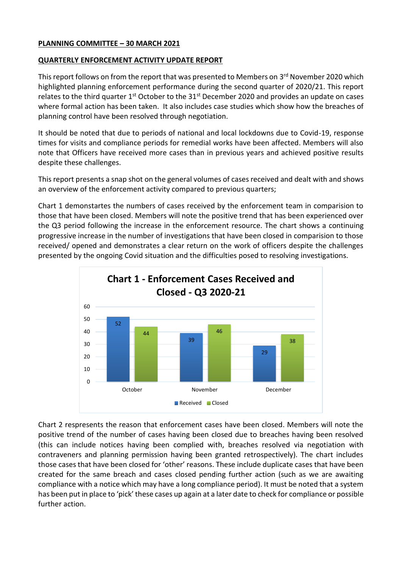#### **PLANNING COMMITTEE – 30 MARCH 2021**

## **QUARTERLY ENFORCEMENT ACTIVITY UPDATE REPORT**

This report follows on from the report that was presented to Members on 3<sup>rd</sup> November 2020 which highlighted planning enforcement performance during the second quarter of 2020/21. This report relates to the third quarter 1<sup>st</sup> October to the 31<sup>st</sup> December 2020 and provides an update on cases where formal action has been taken. It also includes case studies which show how the breaches of planning control have been resolved through negotiation.

It should be noted that due to periods of national and local lockdowns due to Covid-19, response times for visits and compliance periods for remedial works have been affected. Members will also note that Officers have received more cases than in previous years and achieved positive results despite these challenges.

This report presents a snap shot on the general volumes of cases received and dealt with and shows an overview of the enforcement activity compared to previous quarters;

Chart 1 demonstartes the numbers of cases received by the enforcement team in comparision to those that have been closed. Members will note the positive trend that has been experienced over the Q3 period following the increase in the enforcement resource. The chart shows a continuing progressive increase in the number of investigations that have been closed in comparision to those received/ opened and demonstrates a clear return on the work of officers despite the challenges presented by the ongoing Covid situation and the difficulties posed to resolving investigations.



Chart 2 respresents the reason that enforcement cases have been closed. Members will note the positive trend of the number of cases having been closed due to breaches having been resolved (this can include notices having been complied with, breaches resolved via negotiation with contraveners and planning permission having been granted retrospectively). The chart includes those cases that have been closed for 'other' reasons. These include duplicate cases that have been created for the same breach and cases closed pending further action (such as we are awaiting compliance with a notice which may have a long compliance period). It must be noted that a system has been put in place to 'pick' these cases up again at a later date to check for compliance or possible further action.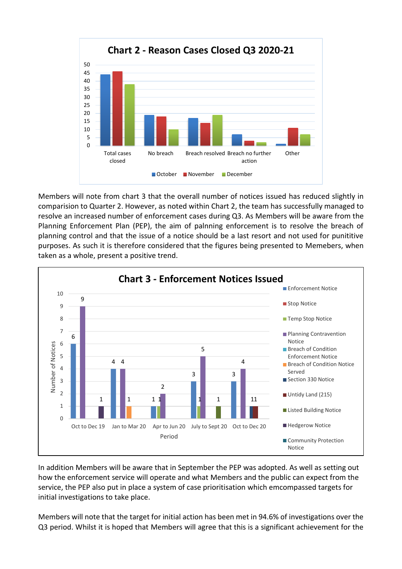

Members will note from chart 3 that the overall number of notices issued has reduced slightly in comparision to Quarter 2. However, as noted within Chart 2, the team has successfully managed to resolve an increased number of enforcement cases during Q3. As Members will be aware from the Planning Enforcement Plan (PEP), the aim of palnning enforcement is to resolve the breach of planning control and that the issue of a notice should be a last resort and not used for punititive purposes. As such it is therefore considered that the figures being presented to Memebers, when taken as a whole, present a positive trend.



In addition Members will be aware that in September the PEP was adopted. As well as setting out how the enforcement service will operate and what Members and the public can expect from the service, the PEP also put in place a system of case prioritisation which emcompassed targets for initial investigations to take place.

Members will note that the target for initial action has been met in 94.6% of investigations over the Q3 period. Whilst it is hoped that Members will agree that this is a significant achievement for the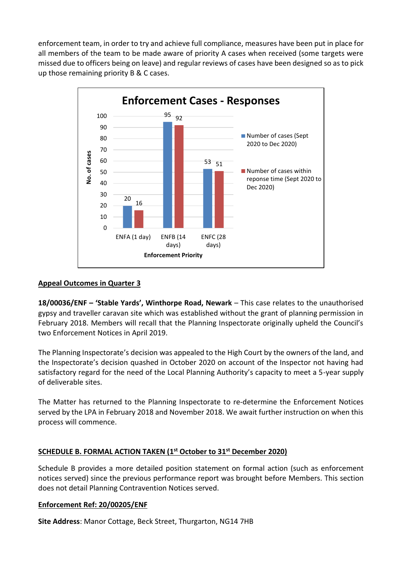enforcement team, in order to try and achieve full compliance, measures have been put in place for all members of the team to be made aware of priority A cases when received (some targets were missed due to officers being on leave) and regular reviews of cases have been designed so as to pick up those remaining priority B & C cases.



### **Appeal Outcomes in Quarter 3**

**18/00036/ENF – 'Stable Yards', Winthorpe Road, Newark** – This case relates to the unauthorised gypsy and traveller caravan site which was established without the grant of planning permission in February 2018. Members will recall that the Planning Inspectorate originally upheld the Council's two Enforcement Notices in April 2019.

The Planning Inspectorate's decision was appealed to the High Court by the owners of the land, and the Inspectorate's decision quashed in October 2020 on account of the Inspector not having had satisfactory regard for the need of the Local Planning Authority's capacity to meet a 5-year supply of deliverable sites.

The Matter has returned to the Planning Inspectorate to re-determine the Enforcement Notices served by the LPA in February 2018 and November 2018. We await further instruction on when this process will commence.

# **SCHEDULE B. FORMAL ACTION TAKEN (1 st October to 31st December 2020)**

Schedule B provides a more detailed position statement on formal action (such as enforcement notices served) since the previous performance report was brought before Members. This section does not detail Planning Contravention Notices served.

#### **Enforcement Ref: 20/00205/ENF**

**Site Address**: Manor Cottage, Beck Street, Thurgarton, NG14 7HB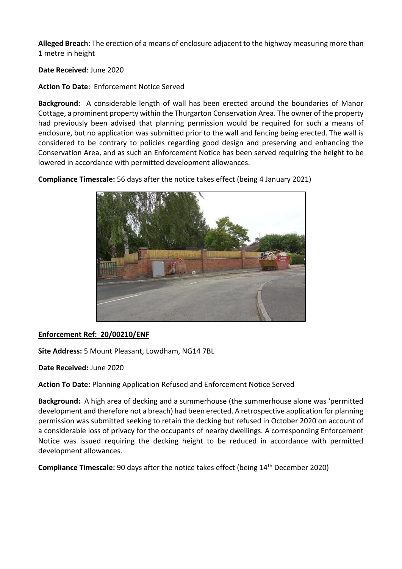**Alleged Breach**: The erection of a means of enclosure adjacent to the highway measuring more than 1 metre in height

**Date Received**: June 2020

**Action To Date**: Enforcement Notice Served

**Background:** A considerable length of wall has been erected around the boundaries of Manor Cottage, a prominent property within the Thurgarton Conservation Area. The owner of the property had previously been advised that planning permission would be required for such a means of enclosure, but no application was submitted prior to the wall and fencing being erected. The wall is considered to be contrary to policies regarding good design and preserving and enhancing the Conservation Area, and as such an Enforcement Notice has been served requiring the height to be lowered in accordance with permitted development allowances.

**Compliance Timescale:** 56 days after the notice takes effect (being 4 January 2021)



# **Enforcement Ref: 20/00210/ENF**

**Site Address:** 5 Mount Pleasant, Lowdham, NG14 7BL

**Date Received:** June 2020

**Action To Date:** Planning Application Refused and Enforcement Notice Served

**Background:** A high area of decking and a summerhouse (the summerhouse alone was 'permitted development and therefore not a breach) had been erected. A retrospective application for planning permission was submitted seeking to retain the decking but refused in October 2020 on account of a considerable loss of privacy for the occupants of nearby dwellings. A corresponding Enforcement Notice was issued requiring the decking height to be reduced in accordance with permitted development allowances.

**Compliance Timescale:** 90 days after the notice takes effect (being 14<sup>th</sup> December 2020)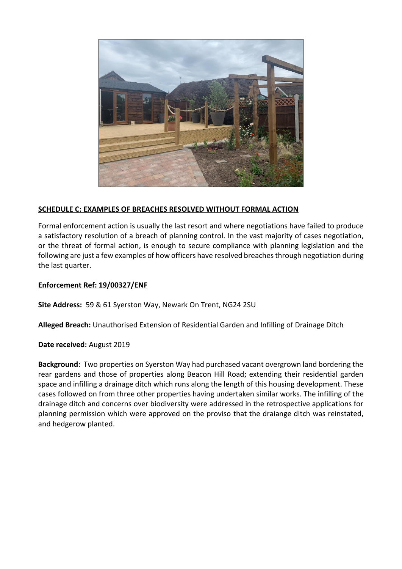

# **SCHEDULE C: EXAMPLES OF BREACHES RESOLVED WITHOUT FORMAL ACTION**

Formal enforcement action is usually the last resort and where negotiations have failed to produce a satisfactory resolution of a breach of planning control. In the vast majority of cases negotiation, or the threat of formal action, is enough to secure compliance with planning legislation and the following are just a few examples of how officers have resolved breaches through negotiation during the last quarter.

## **Enforcement Ref: 19/00327/ENF**

**Site Address:** 59 & 61 Syerston Way, Newark On Trent, NG24 2SU

**Alleged Breach:** Unauthorised Extension of Residential Garden and Infilling of Drainage Ditch

**Date received:** August 2019

**Background:** Two properties on Syerston Way had purchased vacant overgrown land bordering the rear gardens and those of properties along Beacon Hill Road; extending their residential garden space and infilling a drainage ditch which runs along the length of this housing development. These cases followed on from three other properties having undertaken similar works. The infilling of the drainage ditch and concerns over biodiversity were addressed in the retrospective applications for planning permission which were approved on the proviso that the draiange ditch was reinstated, and hedgerow planted.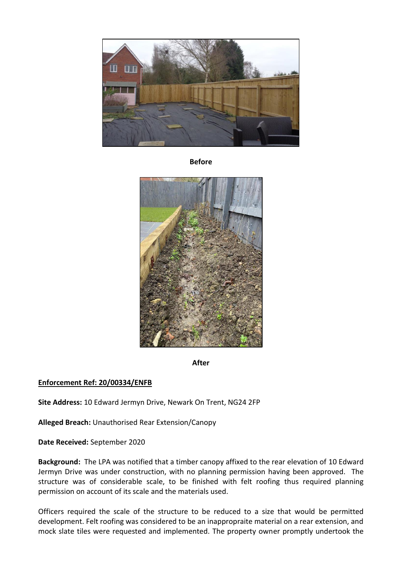

**Before**



**After**

# **Enforcement Ref: 20/00334/ENFB**

**Site Address:** 10 Edward Jermyn Drive, Newark On Trent, NG24 2FP

**Alleged Breach:** Unauthorised Rear Extension/Canopy

**Date Received:** September 2020

**Background:** The LPA was notified that a timber canopy affixed to the rear elevation of 10 Edward Jermyn Drive was under construction, with no planning permission having been approved. The structure was of considerable scale, to be finished with felt roofing thus required planning permission on account of its scale and the materials used.

Officers required the scale of the structure to be reduced to a size that would be permitted development. Felt roofing was considered to be an inappropraite material on a rear extension, and mock slate tiles were requested and implemented. The property owner promptly undertook the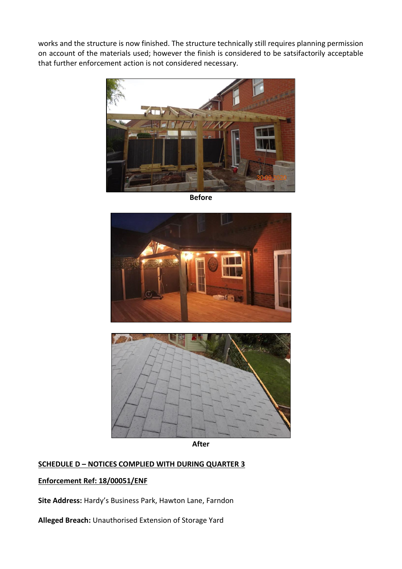works and the structure is now finished. The structure technically still requires planning permission on account of the materials used; however the finish is considered to be satsifactorily acceptable that further enforcement action is not considered necessary.



**Before**





**After**

## **SCHEDULE D – NOTICES COMPLIED WITH DURING QUARTER 3**

## **Enforcement Ref: 18/00051/ENF**

**Site Address:** Hardy's Business Park, Hawton Lane, Farndon

**Alleged Breach:** Unauthorised Extension of Storage Yard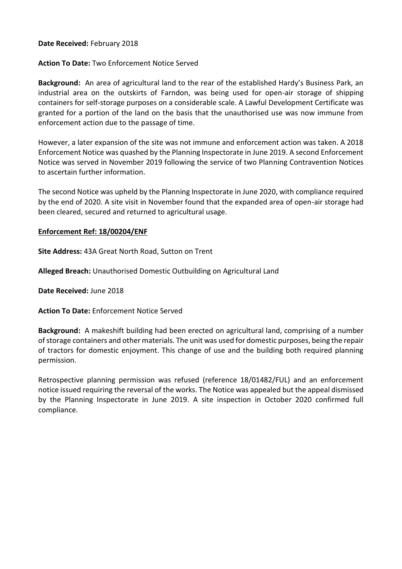### **Date Received:** February 2018

## **Action To Date:** Two Enforcement Notice Served

**Background:** An area of agricultural land to the rear of the established Hardy's Business Park, an industrial area on the outskirts of Farndon, was being used for open-air storage of shipping containers for self-storage purposes on a considerable scale. A Lawful Development Certificate was granted for a portion of the land on the basis that the unauthorised use was now immune from enforcement action due to the passage of time.

However, a later expansion of the site was not immune and enforcement action was taken. A 2018 Enforcement Notice was quashed by the Planning Inspectorate in June 2019. A second Enforcement Notice was served in November 2019 following the service of two Planning Contravention Notices to ascertain further information.

The second Notice was upheld by the Planning Inspectorate in June 2020, with compliance required by the end of 2020. A site visit in November found that the expanded area of open-air storage had been cleared, secured and returned to agricultural usage.

#### **Enforcement Ref: 18/00204/ENF**

**Site Address:** 43A Great North Road, Sutton on Trent

**Alleged Breach:** Unauthorised Domestic Outbuilding on Agricultural Land

**Date Received:** June 2018

**Action To Date:** Enforcement Notice Served

**Background:** A makeshift building had been erected on agricultural land, comprising of a number of storage containers and other materials. The unit was used for domestic purposes, being the repair of tractors for domestic enjoyment. This change of use and the building both required planning permission.

Retrospective planning permission was refused (reference 18/01482/FUL) and an enforcement notice issued requiring the reversal of the works. The Notice was appealed but the appeal dismissed by the Planning Inspectorate in June 2019. A site inspection in October 2020 confirmed full compliance.